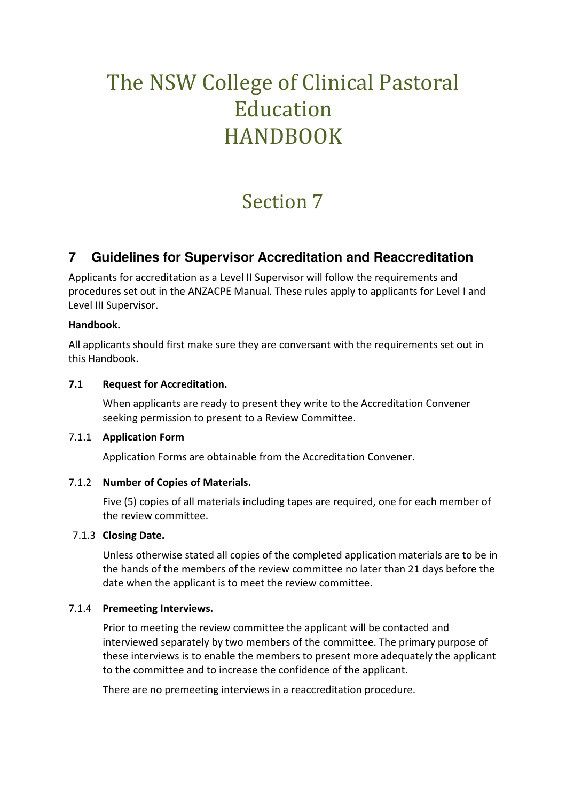# The NSW College of Clinical Pastoral Education HANDBOOK

## Section 7

### **7 Guidelines for Supervisor Accreditation and Reaccreditation**

Applicants for accreditation as a Level II Supervisor will follow the requirements and procedures set out in the ANZACPE Manual. These rules apply to applicants for Level I and Level III Supervisor.

#### **Handbook.**

All applicants should first make sure they are conversant with the requirements set out in this Handbook.

#### **7.1 Request for Accreditation.**

 When applicants are ready to present they write to the Accreditation Convener seeking permission to present to a Review Committee.

#### 7.1.1 **Application Form**

Application Forms are obtainable from the Accreditation Convener.

#### 7.1.2 **Number of Copies of Materials.**

 Five (5) copies of all materials including tapes are required, one for each member of the review committee.

#### 7.1.3 **Closing Date.**

 Unless otherwise stated all copies of the completed application materials are to be in the hands of the members of the review committee no later than 21 days before the date when the applicant is to meet the review committee.

#### 7.1.4 **Premeeting Interviews.**

 Prior to meeting the review committee the applicant will be contacted and interviewed separately by two members of the committee. The primary purpose of these interviews is to enable the members to present more adequately the applicant to the committee and to increase the confidence of the applicant.

There are no premeeting interviews in a reaccreditation procedure.